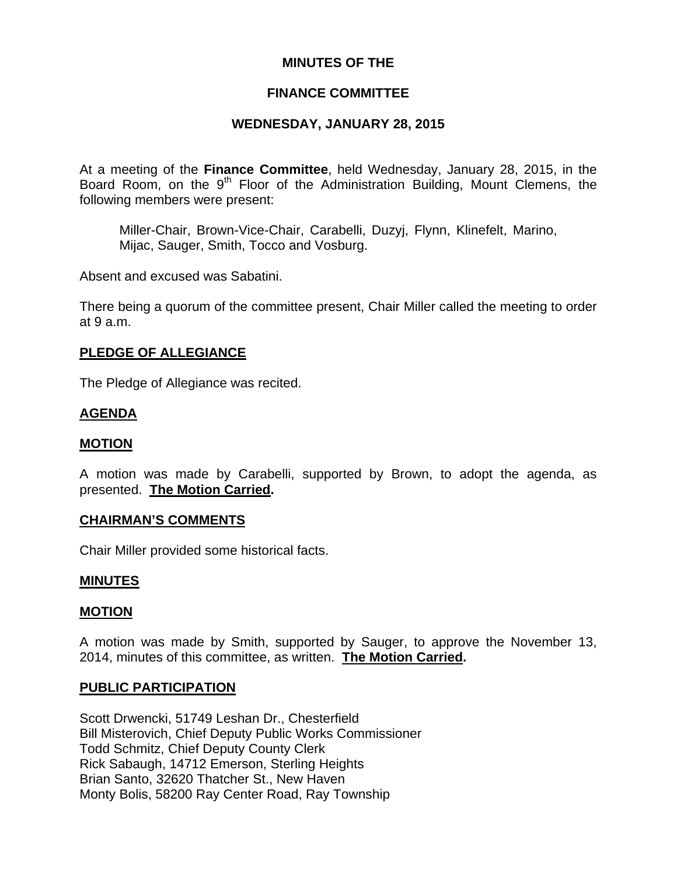## **MINUTES OF THE**

## **FINANCE COMMITTEE**

## **WEDNESDAY, JANUARY 28, 2015**

At a meeting of the **Finance Committee**, held Wednesday, January 28, 2015, in the Board Room, on the 9<sup>th</sup> Floor of the Administration Building, Mount Clemens, the following members were present:

Miller-Chair, Brown-Vice-Chair, Carabelli, Duzyj, Flynn, Klinefelt, Marino, Mijac, Sauger, Smith, Tocco and Vosburg.

Absent and excused was Sabatini.

There being a quorum of the committee present, Chair Miller called the meeting to order at 9 a.m.

### **PLEDGE OF ALLEGIANCE**

The Pledge of Allegiance was recited.

### **AGENDA**

#### **MOTION**

A motion was made by Carabelli, supported by Brown, to adopt the agenda, as presented. **The Motion Carried.** 

#### **CHAIRMAN'S COMMENTS**

Chair Miller provided some historical facts.

#### **MINUTES**

### **MOTION**

A motion was made by Smith, supported by Sauger, to approve the November 13, 2014, minutes of this committee, as written. **The Motion Carried.** 

### **PUBLIC PARTICIPATION**

Scott Drwencki, 51749 Leshan Dr., Chesterfield Bill Misterovich, Chief Deputy Public Works Commissioner Todd Schmitz, Chief Deputy County Clerk Rick Sabaugh, 14712 Emerson, Sterling Heights Brian Santo, 32620 Thatcher St., New Haven Monty Bolis, 58200 Ray Center Road, Ray Township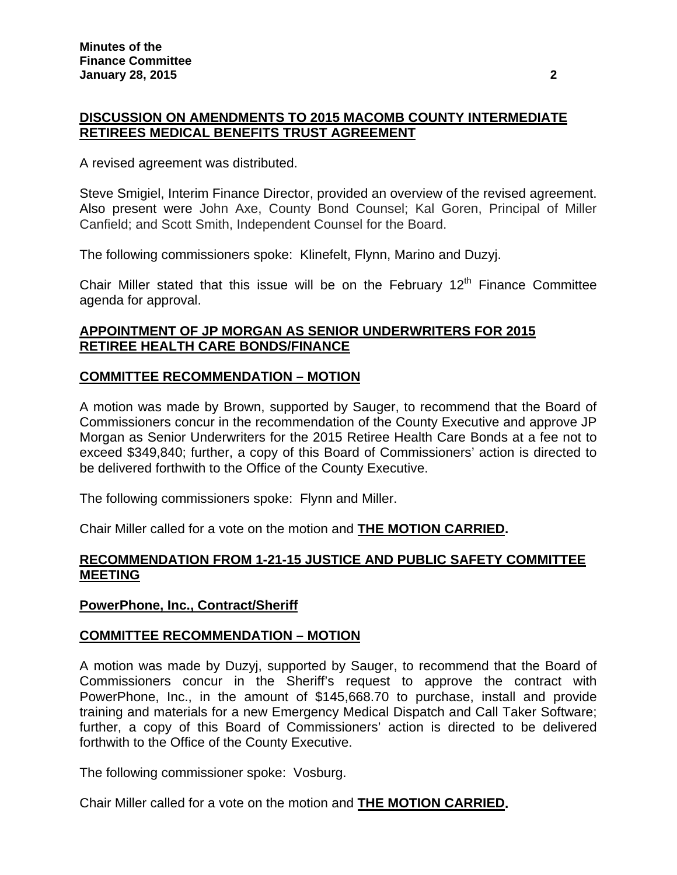## **DISCUSSION ON AMENDMENTS TO 2015 MACOMB COUNTY INTERMEDIATE RETIREES MEDICAL BENEFITS TRUST AGREEMENT**

A revised agreement was distributed.

Steve Smigiel, Interim Finance Director, provided an overview of the revised agreement. Also present were John Axe, County Bond Counsel; Kal Goren, Principal of Miller Canfield; and Scott Smith, Independent Counsel for the Board.

The following commissioners spoke: Klinefelt, Flynn, Marino and Duzyj.

Chair Miller stated that this issue will be on the February  $12<sup>th</sup>$  Finance Committee agenda for approval.

## **APPOINTMENT OF JP MORGAN AS SENIOR UNDERWRITERS FOR 2015 RETIREE HEALTH CARE BONDS/FINANCE**

## **COMMITTEE RECOMMENDATION – MOTION**

A motion was made by Brown, supported by Sauger, to recommend that the Board of Commissioners concur in the recommendation of the County Executive and approve JP Morgan as Senior Underwriters for the 2015 Retiree Health Care Bonds at a fee not to exceed \$349,840; further, a copy of this Board of Commissioners' action is directed to be delivered forthwith to the Office of the County Executive.

The following commissioners spoke: Flynn and Miller.

Chair Miller called for a vote on the motion and **THE MOTION CARRIED.**

### **RECOMMENDATION FROM 1-21-15 JUSTICE AND PUBLIC SAFETY COMMITTEE MEETING**

### **PowerPhone, Inc., Contract/Sheriff**

### **COMMITTEE RECOMMENDATION – MOTION**

A motion was made by Duzyj, supported by Sauger, to recommend that the Board of Commissioners concur in the Sheriff's request to approve the contract with PowerPhone, Inc., in the amount of \$145,668.70 to purchase, install and provide training and materials for a new Emergency Medical Dispatch and Call Taker Software; further, a copy of this Board of Commissioners' action is directed to be delivered forthwith to the Office of the County Executive.

The following commissioner spoke: Vosburg.

Chair Miller called for a vote on the motion and **THE MOTION CARRIED.**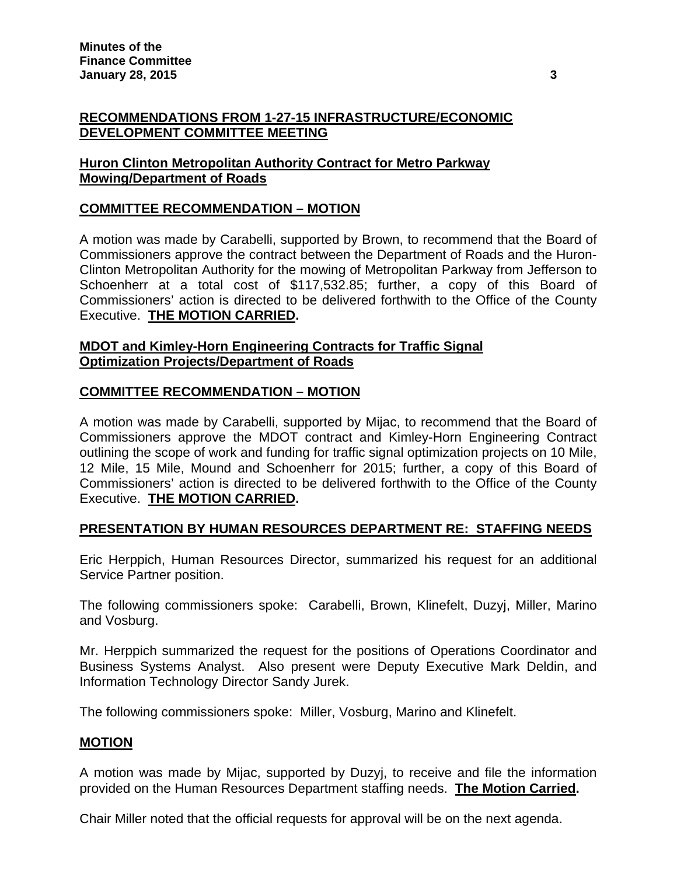# **RECOMMENDATIONS FROM 1-27-15 INFRASTRUCTURE/ECONOMIC DEVELOPMENT COMMITTEE MEETING**

# **Huron Clinton Metropolitan Authority Contract for Metro Parkway Mowing/Department of Roads**

# **COMMITTEE RECOMMENDATION – MOTION**

A motion was made by Carabelli, supported by Brown, to recommend that the Board of Commissioners approve the contract between the Department of Roads and the Huron-Clinton Metropolitan Authority for the mowing of Metropolitan Parkway from Jefferson to Schoenherr at a total cost of \$117,532.85; further, a copy of this Board of Commissioners' action is directed to be delivered forthwith to the Office of the County Executive. **THE MOTION CARRIED.**

## **MDOT and Kimley-Horn Engineering Contracts for Traffic Signal Optimization Projects/Department of Roads**

# **COMMITTEE RECOMMENDATION – MOTION**

A motion was made by Carabelli, supported by Mijac, to recommend that the Board of Commissioners approve the MDOT contract and Kimley-Horn Engineering Contract outlining the scope of work and funding for traffic signal optimization projects on 10 Mile, 12 Mile, 15 Mile, Mound and Schoenherr for 2015; further, a copy of this Board of Commissioners' action is directed to be delivered forthwith to the Office of the County Executive. **THE MOTION CARRIED.**

## **PRESENTATION BY HUMAN RESOURCES DEPARTMENT RE: STAFFING NEEDS**

Eric Herppich, Human Resources Director, summarized his request for an additional Service Partner position.

The following commissioners spoke: Carabelli, Brown, Klinefelt, Duzyj, Miller, Marino and Vosburg.

Mr. Herppich summarized the request for the positions of Operations Coordinator and Business Systems Analyst. Also present were Deputy Executive Mark Deldin, and Information Technology Director Sandy Jurek.

The following commissioners spoke: Miller, Vosburg, Marino and Klinefelt.

## **MOTION**

A motion was made by Mijac, supported by Duzyj, to receive and file the information provided on the Human Resources Department staffing needs. **The Motion Carried.** 

Chair Miller noted that the official requests for approval will be on the next agenda.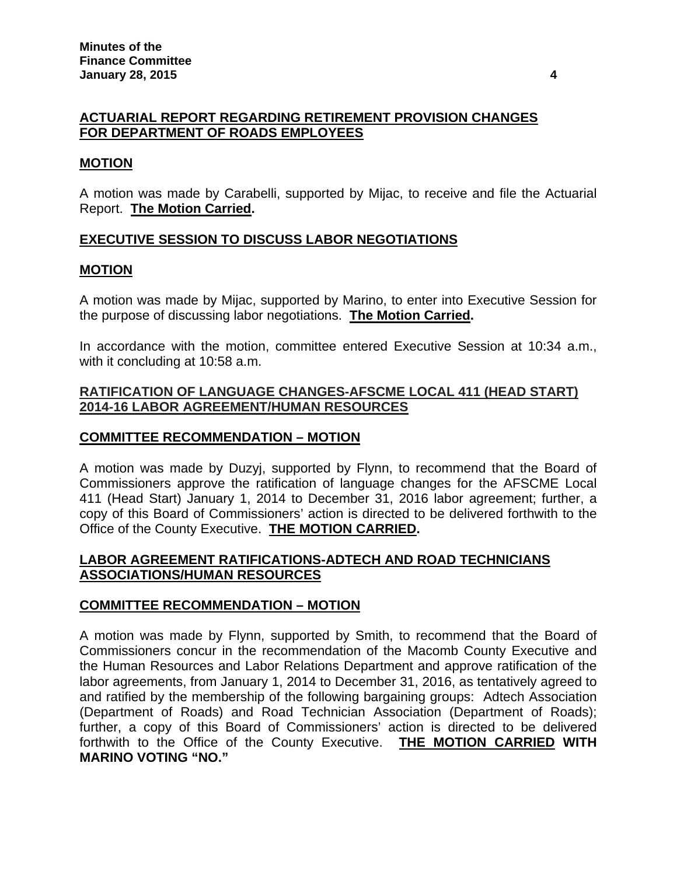## **ACTUARIAL REPORT REGARDING RETIREMENT PROVISION CHANGES FOR DEPARTMENT OF ROADS EMPLOYEES**

## **MOTION**

A motion was made by Carabelli, supported by Mijac, to receive and file the Actuarial Report. **The Motion Carried.** 

## **EXECUTIVE SESSION TO DISCUSS LABOR NEGOTIATIONS**

### **MOTION**

A motion was made by Mijac, supported by Marino, to enter into Executive Session for the purpose of discussing labor negotiations. **The Motion Carried.**

In accordance with the motion, committee entered Executive Session at 10:34 a.m., with it concluding at 10:58 a.m.

## **RATIFICATION OF LANGUAGE CHANGES-AFSCME LOCAL 411 (HEAD START) 2014-16 LABOR AGREEMENT/HUMAN RESOURCES**

## **COMMITTEE RECOMMENDATION – MOTION**

A motion was made by Duzyj, supported by Flynn, to recommend that the Board of Commissioners approve the ratification of language changes for the AFSCME Local 411 (Head Start) January 1, 2014 to December 31, 2016 labor agreement; further, a copy of this Board of Commissioners' action is directed to be delivered forthwith to the Office of the County Executive. **THE MOTION CARRIED.**

### **LABOR AGREEMENT RATIFICATIONS-ADTECH AND ROAD TECHNICIANS ASSOCIATIONS/HUMAN RESOURCES**

## **COMMITTEE RECOMMENDATION – MOTION**

A motion was made by Flynn, supported by Smith, to recommend that the Board of Commissioners concur in the recommendation of the Macomb County Executive and the Human Resources and Labor Relations Department and approve ratification of the labor agreements, from January 1, 2014 to December 31, 2016, as tentatively agreed to and ratified by the membership of the following bargaining groups: Adtech Association (Department of Roads) and Road Technician Association (Department of Roads); further, a copy of this Board of Commissioners' action is directed to be delivered forthwith to the Office of the County Executive. **THE MOTION CARRIED WITH MARINO VOTING "NO."**